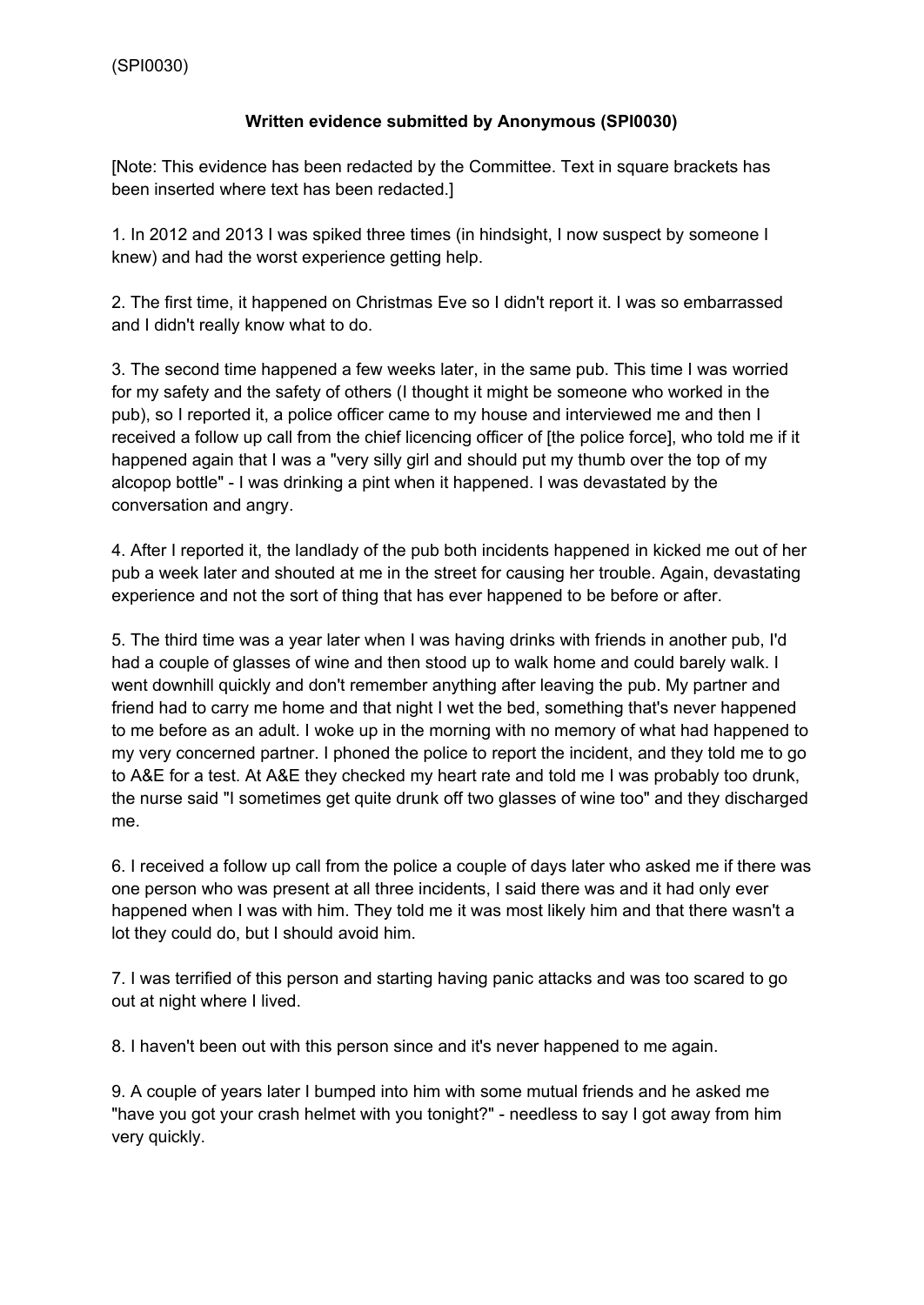## **Written evidence submitted by Anonymous (SPI0030)**

[Note: This evidence has been redacted by the Committee. Text in square brackets has been inserted where text has been redacted.]

1. In 2012 and 2013 I was spiked three times (in hindsight, I now suspect by someone I knew) and had the worst experience getting help.

2. The first time, it happened on Christmas Eve so I didn't report it. I was so embarrassed and I didn't really know what to do.

3. The second time happened a few weeks later, in the same pub. This time I was worried for my safety and the safety of others (I thought it might be someone who worked in the pub), so I reported it, a police officer came to my house and interviewed me and then I received a follow up call from the chief licencing officer of [the police force], who told me if it happened again that I was a "very silly girl and should put my thumb over the top of my alcopop bottle" - I was drinking a pint when it happened. I was devastated by the conversation and angry.

4. After I reported it, the landlady of the pub both incidents happened in kicked me out of her pub a week later and shouted at me in the street for causing her trouble. Again, devastating experience and not the sort of thing that has ever happened to be before or after.

5. The third time was a year later when I was having drinks with friends in another pub, I'd had a couple of glasses of wine and then stood up to walk home and could barely walk. I went downhill quickly and don't remember anything after leaving the pub. My partner and friend had to carry me home and that night I wet the bed, something that's never happened to me before as an adult. I woke up in the morning with no memory of what had happened to my very concerned partner. I phoned the police to report the incident, and they told me to go to A&E for a test. At A&E they checked my heart rate and told me I was probably too drunk, the nurse said "I sometimes get quite drunk off two glasses of wine too" and they discharged me.

6. I received a follow up call from the police a couple of days later who asked me if there was one person who was present at all three incidents, I said there was and it had only ever happened when I was with him. They told me it was most likely him and that there wasn't a lot they could do, but I should avoid him.

7. I was terrified of this person and starting having panic attacks and was too scared to go out at night where I lived.

8. I haven't been out with this person since and it's never happened to me again.

9. A couple of years later I bumped into him with some mutual friends and he asked me "have you got your crash helmet with you tonight?" - needless to say I got away from him very quickly.